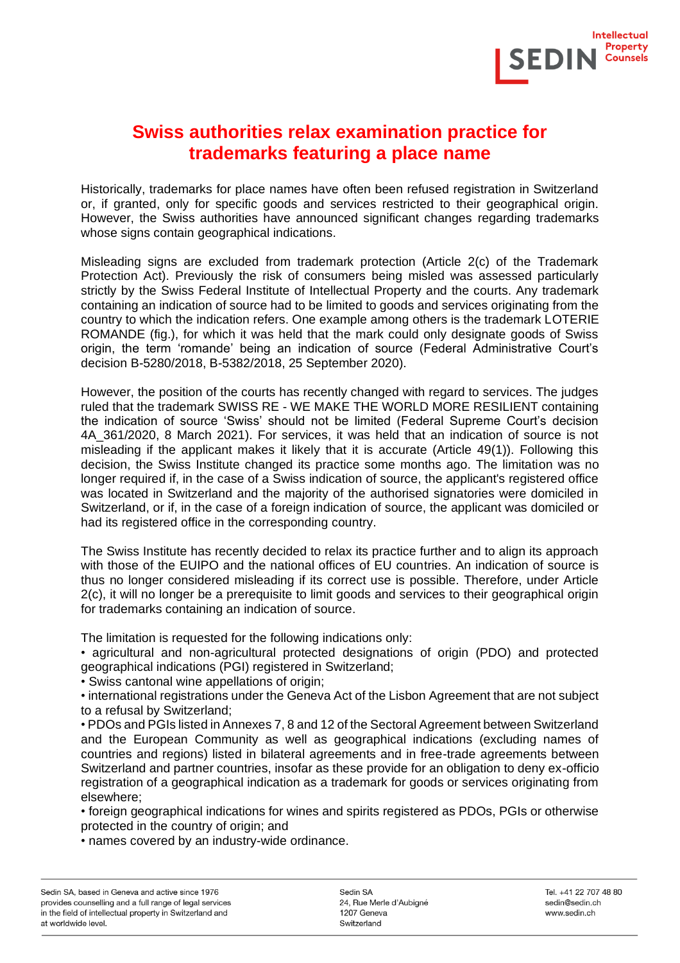

## **Swiss authorities relax examination practice for trademarks featuring a place name**

Historically, trademarks for place names have often been refused registration in Switzerland or, if granted, only for specific goods and services restricted to their geographical origin. However, the Swiss authorities have announced significant changes regarding trademarks whose signs contain geographical indications.

Misleading signs are excluded from trademark protection (Article 2(c) of the Trademark Protection Act). Previously the risk of consumers being misled was assessed particularly strictly by the Swiss Federal Institute of Intellectual Property and the courts. Any trademark containing an indication of source had to be limited to goods and services originating from the country to which the indication refers. One example among others is the trademark LOTERIE ROMANDE (fig.), for which it was held that the mark could only designate goods of Swiss origin, the term 'romande' being an indication of source (Federal Administrative Court's decision B-5280/2018, B-5382/2018, 25 September 2020).

However, the position of the courts has recently changed with regard to services. The judges ruled that the trademark SWISS RE - WE MAKE THE WORLD MORE RESILIENT containing the indication of source 'Swiss' should not be limited (Federal Supreme Court's decision 4A\_361/2020, 8 March 2021). For services, it was held that an indication of source is not misleading if the applicant makes it likely that it is accurate (Article 49(1)). Following this decision, the Swiss Institute changed its practice some months ago. The limitation was no longer required if, in the case of a Swiss indication of source, the applicant's registered office was located in Switzerland and the majority of the authorised signatories were domiciled in Switzerland, or if, in the case of a foreign indication of source, the applicant was domiciled or had its registered office in the corresponding country.

The Swiss Institute has recently decided to relax its practice further and to align its approach with those of the EUIPO and the national offices of EU countries. An indication of source is thus no longer considered misleading if its correct use is possible. Therefore, under Article 2(c), it will no longer be a prerequisite to limit goods and services to their geographical origin for trademarks containing an indication of source.

The limitation is requested for the following indications only:

• agricultural and non-agricultural protected designations of origin (PDO) and protected geographical indications (PGI) registered in Switzerland;

• Swiss cantonal wine appellations of origin;

• international registrations under the Geneva Act of the Lisbon Agreement that are not subject to a refusal by Switzerland;

• PDOs and PGIs listed in Annexes 7, 8 and 12 of the Sectoral Agreement between Switzerland and the European Community as well as geographical indications (excluding names of countries and regions) listed in bilateral agreements and in free-trade agreements between Switzerland and partner countries, insofar as these provide for an obligation to deny ex-officio registration of a geographical indication as a trademark for goods or services originating from elsewhere;

• foreign geographical indications for wines and spirits registered as PDOs, PGIs or otherwise protected in the country of origin; and

• names covered by an industry-wide ordinance.